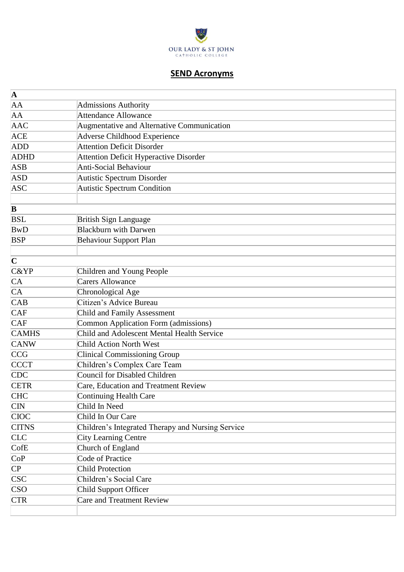

## **SEND Acronyms**

| $\mathbf A$            |                                                   |
|------------------------|---------------------------------------------------|
| AA                     | Admissions Authority                              |
| AA                     | <b>Attendance Allowance</b>                       |
| <b>AAC</b>             | Augmentative and Alternative Communication        |
| <b>ACE</b>             | Adverse Childhood Experience                      |
| ADD                    | <b>Attention Deficit Disorder</b>                 |
| <b>ADHD</b>            | Attention Deficit Hyperactive Disorder            |
| ASB                    | <b>Anti-Social Behaviour</b>                      |
| <b>ASD</b>             | <b>Autistic Spectrum Disorder</b>                 |
| $ {\rm ASC}$           | Autistic Spectrum Condition                       |
|                        |                                                   |
| $\bf{B}$               |                                                   |
| <b>BSL</b>             | <b>British Sign Language</b>                      |
| <b>BwD</b>             | <b>Blackburn with Darwen</b>                      |
| <b>BSP</b>             | <b>Behaviour Support Plan</b>                     |
|                        |                                                   |
| $\bf C$                |                                                   |
| C&YP                   | Children and Young People                         |
| CA                     | <b>Carers Allowance</b>                           |
| CA                     | Chronological Age                                 |
| CAB                    | Citizen's Advice Bureau                           |
| <b>CAF</b>             | <b>Child and Family Assessment</b>                |
| <b>CAF</b>             | Common Application Form (admissions)              |
| <b>CAMHS</b>           | Child and Adolescent Mental Health Service        |
| <b>CANW</b>            | <b>Child Action North West</b>                    |
| CCG                    | <b>Clinical Commissioning Group</b>               |
| <b>CCCT</b>            | Children's Complex Care Team                      |
| <b>CDC</b>             | Council for Disabled Children                     |
| <b>CETR</b>            | Care, Education and Treatment Review              |
| <b>CHC</b>             | <b>Continuing Health Care</b>                     |
| <b>CIN</b>             | Child In Need                                     |
| <b>CIOC</b>            | Child In Our Care                                 |
| <b>CITNS</b>           | Children's Integrated Therapy and Nursing Service |
| <b>CLC</b>             | City Learning Centre                              |
| CofE                   | Church of England                                 |
| CoP                    | <b>Code of Practice</b>                           |
| $\overline{\text{CP}}$ | <b>Child Protection</b>                           |
| <b>CSC</b>             | Children's Social Care                            |
| <b>CSO</b>             | Child Support Officer                             |
| <b>CTR</b>             | <b>Care and Treatment Review</b>                  |
|                        |                                                   |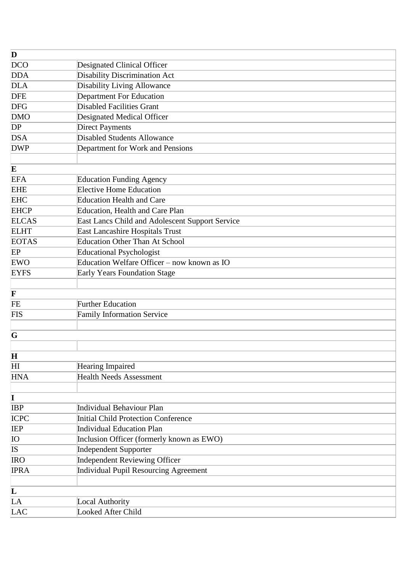| D            |                                                 |
|--------------|-------------------------------------------------|
| <b>DCO</b>   | Designated Clinical Officer                     |
| <b>DDA</b>   | <b>Disability Discrimination Act</b>            |
| <b>DLA</b>   | <b>Disability Living Allowance</b>              |
| <b>DFE</b>   | <b>Department For Education</b>                 |
| <b>DFG</b>   | <b>Disabled Facilities Grant</b>                |
| <b>DMO</b>   | Designated Medical Officer                      |
| DP           | <b>Direct Payments</b>                          |
| <b>DSA</b>   | <b>Disabled Students Allowance</b>              |
| <b>DWP</b>   | Department for Work and Pensions                |
|              |                                                 |
| E            |                                                 |
| <b>EFA</b>   | <b>Education Funding Agency</b>                 |
| <b>EHE</b>   | <b>Elective Home Education</b>                  |
| <b>EHC</b>   | <b>Education Health and Care</b>                |
| <b>EHCP</b>  | Education, Health and Care Plan                 |
| <b>ELCAS</b> | East Lancs Child and Adolescent Support Service |
| <b>ELHT</b>  | East Lancashire Hospitals Trust                 |
| <b>EOTAS</b> | <b>Education Other Than At School</b>           |
| EP           | <b>Educational Psychologist</b>                 |
| <b>EWO</b>   | Education Welfare Officer - now known as IO     |
| <b>EYFS</b>  | Early Years Foundation Stage                    |
|              |                                                 |
| $\mathbf F$  |                                                 |
| FE           | <b>Further Education</b>                        |
| <b>FIS</b>   | <b>Family Information Service</b>               |
|              |                                                 |
| G            |                                                 |
|              |                                                 |
| $\bf H$      |                                                 |
| H I          | Hearing Impaired                                |
| <b>HNA</b>   | <b>Health Needs Assessment</b>                  |
|              |                                                 |
| I            |                                                 |
| <b>IBP</b>   | Individual Behaviour Plan                       |
| <b>ICPC</b>  | <b>Initial Child Protection Conference</b>      |
| <b>IEP</b>   | <b>Individual Education Plan</b>                |
| IO           | Inclusion Officer (formerly known as EWO)       |
| IS           | <b>Independent Supporter</b>                    |
| <b>IRO</b>   | <b>Independent Reviewing Officer</b>            |
| <b>IPRA</b>  | Individual Pupil Resourcing Agreement           |
|              |                                                 |
| L            |                                                 |
| LA           | Local Authority                                 |
| <b>LAC</b>   | Looked After Child                              |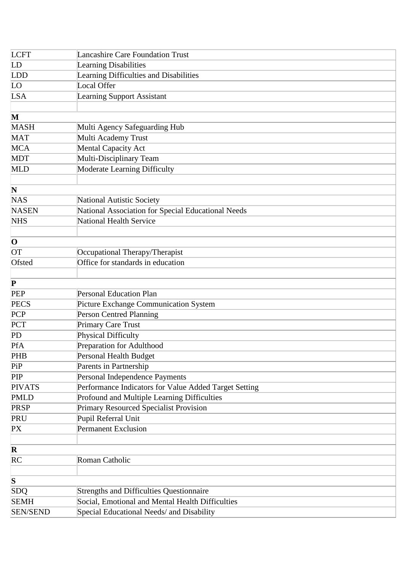| <b>LCFT</b>     | <b>Lancashire Care Foundation Trust</b>               |
|-----------------|-------------------------------------------------------|
| LD              | Learning Disabilities                                 |
| <b>LDD</b>      | Learning Difficulties and Disabilities                |
| LO              | Local Offer                                           |
| <b>LSA</b>      | <b>Learning Support Assistant</b>                     |
|                 |                                                       |
| M               |                                                       |
| <b>MASH</b>     | Multi Agency Safeguarding Hub                         |
| <b>MAT</b>      | Multi Academy Trust                                   |
| <b>MCA</b>      | Mental Capacity Act                                   |
| <b>MDT</b>      | Multi-Disciplinary Team                               |
| <b>MLD</b>      | Moderate Learning Difficulty                          |
|                 |                                                       |
| N               |                                                       |
| <b>NAS</b>      | National Autistic Society                             |
| <b>NASEN</b>    | National Association for Special Educational Needs    |
| <b>NHS</b>      | National Health Service                               |
|                 |                                                       |
| $\mathbf 0$     |                                                       |
| OT              | Occupational Therapy/Therapist                        |
| Ofsted          | Office for standards in education                     |
|                 |                                                       |
| ${\bf P}$       |                                                       |
| <b>PEP</b>      | <b>Personal Education Plan</b>                        |
| <b>PECS</b>     | Picture Exchange Communication System                 |
| <b>PCP</b>      | Person Centred Planning                               |
| PCT             | Primary Care Trust                                    |
| PD              | Physical Difficulty                                   |
| PfA             | Preparation for Adulthood                             |
| PHB             | Personal Health Budget                                |
| PiP             | Parents in Partnership                                |
| <b>PIP</b>      | Personal Independence Payments                        |
| <b>PIVATS</b>   | Performance Indicators for Value Added Target Setting |
| <b>PMLD</b>     | Profound and Multiple Learning Difficulties           |
| <b>PRSP</b>     | Primary Resourced Specialist Provision                |
| PRU             | Pupil Referral Unit                                   |
| PX              | <b>Permanent Exclusion</b>                            |
|                 |                                                       |
| $\bf R$         |                                                       |
| <b>RC</b>       | Roman Catholic                                        |
|                 |                                                       |
| $\bf S$         |                                                       |
| <b>SDQ</b>      | <b>Strengths and Difficulties Questionnaire</b>       |
| <b>SEMH</b>     | Social, Emotional and Mental Health Difficulties      |
| <b>SEN/SEND</b> | Special Educational Needs/ and Disability             |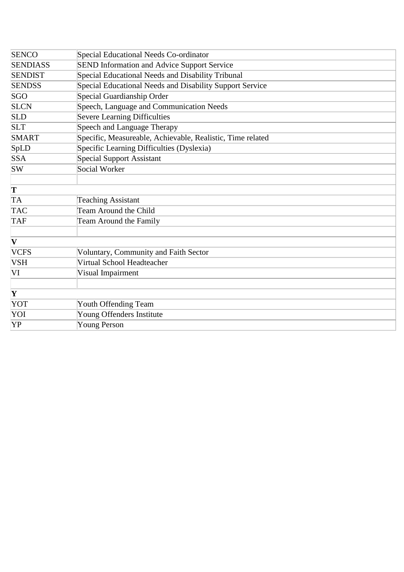| <b>SENCO</b>    | Special Educational Needs Co-ordinator                     |
|-----------------|------------------------------------------------------------|
| <b>SENDIASS</b> | <b>SEND Information and Advice Support Service</b>         |
| <b>SENDIST</b>  | Special Educational Needs and Disability Tribunal          |
| <b>SENDSS</b>   | Special Educational Needs and Disability Support Service   |
| SGO             | Special Guardianship Order                                 |
| <b>SLCN</b>     | Speech, Language and Communication Needs                   |
| <b>SLD</b>      | Severe Learning Difficulties                               |
| <b>SLT</b>      | Speech and Language Therapy                                |
| <b>SMART</b>    | Specific, Measureable, Achievable, Realistic, Time related |
| SpLD            | Specific Learning Difficulties (Dyslexia)                  |
| <b>SSA</b>      | Special Support Assistant                                  |
| SW              | Social Worker                                              |
|                 |                                                            |
| T               |                                                            |
| TA              | <b>Teaching Assistant</b>                                  |
| <b>TAC</b>      | Team Around the Child                                      |
| <b>TAF</b>      | Team Around the Family                                     |
|                 |                                                            |
| $\mathbf{V}$    |                                                            |
| <b>VCFS</b>     | Voluntary, Community and Faith Sector                      |
| <b>VSH</b>      | Virtual School Headteacher                                 |
| VI              | Visual Impairment                                          |
|                 |                                                            |
| Y               |                                                            |
| YOT             | Youth Offending Team                                       |
| YOI             | Young Offenders Institute                                  |
| YP              | <b>Young Person</b>                                        |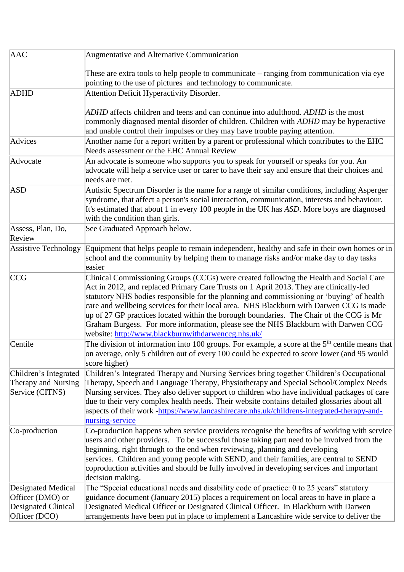| AAC                                                                                   | Augmentative and Alternative Communication                                                                                                                                                                                                                                                                                                                                                                                                                                                                                                                                                                      |
|---------------------------------------------------------------------------------------|-----------------------------------------------------------------------------------------------------------------------------------------------------------------------------------------------------------------------------------------------------------------------------------------------------------------------------------------------------------------------------------------------------------------------------------------------------------------------------------------------------------------------------------------------------------------------------------------------------------------|
|                                                                                       | These are extra tools to help people to communicate – ranging from communication via eye<br>pointing to the use of pictures and technology to communicate.                                                                                                                                                                                                                                                                                                                                                                                                                                                      |
| <b>ADHD</b>                                                                           | Attention Deficit Hyperactivity Disorder.                                                                                                                                                                                                                                                                                                                                                                                                                                                                                                                                                                       |
|                                                                                       | <i>ADHD</i> affects children and teens and can continue into adulthood. <i>ADHD</i> is the most<br>commonly diagnosed mental disorder of children. Children with ADHD may be hyperactive<br>and unable control their impulses or they may have trouble paying attention.                                                                                                                                                                                                                                                                                                                                        |
| Advices                                                                               | Another name for a report written by a parent or professional which contributes to the EHC<br>Needs assessment or the EHC Annual Review                                                                                                                                                                                                                                                                                                                                                                                                                                                                         |
| Advocate                                                                              | An advocate is someone who supports you to speak for yourself or speaks for you. An<br>advocate will help a service user or carer to have their say and ensure that their choices and<br>needs are met.                                                                                                                                                                                                                                                                                                                                                                                                         |
| <b>ASD</b>                                                                            | Autistic Spectrum Disorder is the name for a range of similar conditions, including Asperger<br>syndrome, that affect a person's social interaction, communication, interests and behaviour.<br>It's estimated that about 1 in every 100 people in the UK has ASD. More boys are diagnosed<br>with the condition than girls.                                                                                                                                                                                                                                                                                    |
| Assess, Plan, Do,<br>Review                                                           | See Graduated Approach below.                                                                                                                                                                                                                                                                                                                                                                                                                                                                                                                                                                                   |
| Assistive Technology                                                                  | Equipment that helps people to remain independent, healthy and safe in their own homes or in<br>school and the community by helping them to manage risks and/or make day to day tasks<br>easier                                                                                                                                                                                                                                                                                                                                                                                                                 |
| CCG                                                                                   | Clinical Commissioning Groups (CCGs) were created following the Health and Social Care<br>Act in 2012, and replaced Primary Care Trusts on 1 April 2013. They are clinically-led<br>statutory NHS bodies responsible for the planning and commissioning or 'buying' of health<br>care and wellbeing services for their local area. NHS Blackburn with Darwen CCG is made<br>up of 27 GP practices located within the borough boundaries. The Chair of the CCG is Mr<br>Graham Burgess. For more information, please see the NHS Blackburn with Darwen CCG<br>website: http://www.blackburnwithdarwenccg.nhs.uk/ |
| Centile                                                                               | The division of information into 100 groups. For example, a score at the 5 <sup>th</sup> centile means that<br>on average, only 5 children out of every 100 could be expected to score lower (and 95 would<br>score higher)                                                                                                                                                                                                                                                                                                                                                                                     |
| Children's Integrated<br>Therapy and Nursing                                          | Children's Integrated Therapy and Nursing Services bring together Children's Occupational<br>Therapy, Speech and Language Therapy, Physiotherapy and Special School/Complex Needs                                                                                                                                                                                                                                                                                                                                                                                                                               |
| Service (CITNS)                                                                       | Nursing services. They also deliver support to children who have individual packages of care<br>due to their very complex health needs. Their website contains detailed glossaries about all<br>aspects of their work -https://www.lancashirecare.nhs.uk/childrens-integrated-therapy-and-<br>nursing-service                                                                                                                                                                                                                                                                                                   |
| Co-production                                                                         | Co-production happens when service providers recognise the benefits of working with service<br>users and other providers. To be successful those taking part need to be involved from the<br>beginning, right through to the end when reviewing, planning and developing<br>services. Children and young people with SEND, and their families, are central to SEND<br>coproduction activities and should be fully involved in developing services and important<br>decision making.                                                                                                                             |
| Designated Medical<br>Officer (DMO) or<br><b>Designated Clinical</b><br>Officer (DCO) | The "Special educational needs and disability code of practice: 0 to 25 years" statutory<br>guidance document (January 2015) places a requirement on local areas to have in place a<br>Designated Medical Officer or Designated Clinical Officer. In Blackburn with Darwen<br>arrangements have been put in place to implement a Lancashire wide service to deliver the                                                                                                                                                                                                                                         |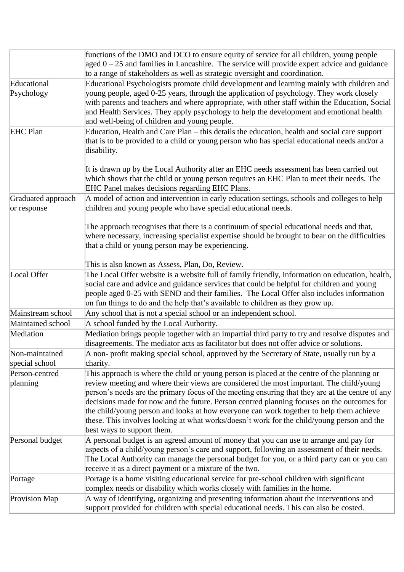|                    | functions of the DMO and DCO to ensure equity of service for all children, young people         |
|--------------------|-------------------------------------------------------------------------------------------------|
|                    | aged $0-25$ and families in Lancashire. The service will provide expert advice and guidance     |
|                    | to a range of stakeholders as well as strategic oversight and coordination.                     |
| Educational        | Educational Psychologists promote child development and learning mainly with children and       |
| Psychology         | young people, aged 0-25 years, through the application of psychology. They work closely         |
|                    | with parents and teachers and where appropriate, with other staff within the Education, Social  |
|                    | and Health Services. They apply psychology to help the development and emotional health         |
|                    | and well-being of children and young people.                                                    |
| <b>EHC</b> Plan    | Education, Health and Care Plan – this details the education, health and social care support    |
|                    | that is to be provided to a child or young person who has special educational needs and/or a    |
|                    | disability.                                                                                     |
|                    |                                                                                                 |
|                    | It is drawn up by the Local Authority after an EHC needs assessment has been carried out        |
|                    | which shows that the child or young person requires an EHC Plan to meet their needs. The        |
|                    | EHC Panel makes decisions regarding EHC Plans.                                                  |
| Graduated approach | A model of action and intervention in early education settings, schools and colleges to help    |
| or response        | children and young people who have special educational needs.                                   |
|                    |                                                                                                 |
|                    | The approach recognises that there is a continuum of special educational needs and that,        |
|                    | where necessary, increasing specialist expertise should be brought to bear on the difficulties  |
|                    | that a child or young person may be experiencing.                                               |
|                    |                                                                                                 |
|                    | This is also known as Assess, Plan, Do, Review.                                                 |
| Local Offer        | The Local Offer website is a website full of family friendly, information on education, health, |
|                    | social care and advice and guidance services that could be helpful for children and young       |
|                    | people aged 0-25 with SEND and their families. The Local Offer also includes information        |
|                    | on fun things to do and the help that's available to children as they grow up.                  |
| Mainstream school  | Any school that is not a special school or an independent school.                               |
| Maintained school  | A school funded by the Local Authority.                                                         |
|                    |                                                                                                 |
| Mediation          | Mediation brings people together with an impartial third party to try and resolve disputes and  |
|                    | disagreements. The mediator acts as facilitator but does not offer advice or solutions.         |
| Non-maintained     | A non- profit making special school, approved by the Secretary of State, usually run by a       |
| special school     | charity.                                                                                        |
| Person-centred     | This approach is where the child or young person is placed at the centre of the planning or     |
| planning           | review meeting and where their views are considered the most important. The child/young         |
|                    | person's needs are the primary focus of the meeting ensuring that they are at the centre of any |
|                    | decisions made for now and the future. Person centred planning focuses on the outcomes for      |
|                    | the child/young person and looks at how everyone can work together to help them achieve         |
|                    | these. This involves looking at what works/doesn't work for the child/young person and the      |
|                    | best ways to support them.                                                                      |
| Personal budget    | A personal budget is an agreed amount of money that you can use to arrange and pay for          |
|                    | aspects of a child/young person's care and support, following an assessment of their needs.     |
|                    | The Local Authority can manage the personal budget for you, or a third party can or you can     |
|                    | receive it as a direct payment or a mixture of the two.                                         |
| Portage            | Portage is a home visiting educational service for pre-school children with significant         |
|                    | complex needs or disability which works closely with families in the home.                      |
| Provision Map      | A way of identifying, organizing and presenting information about the interventions and         |
|                    | support provided for children with special educational needs. This can also be costed.          |